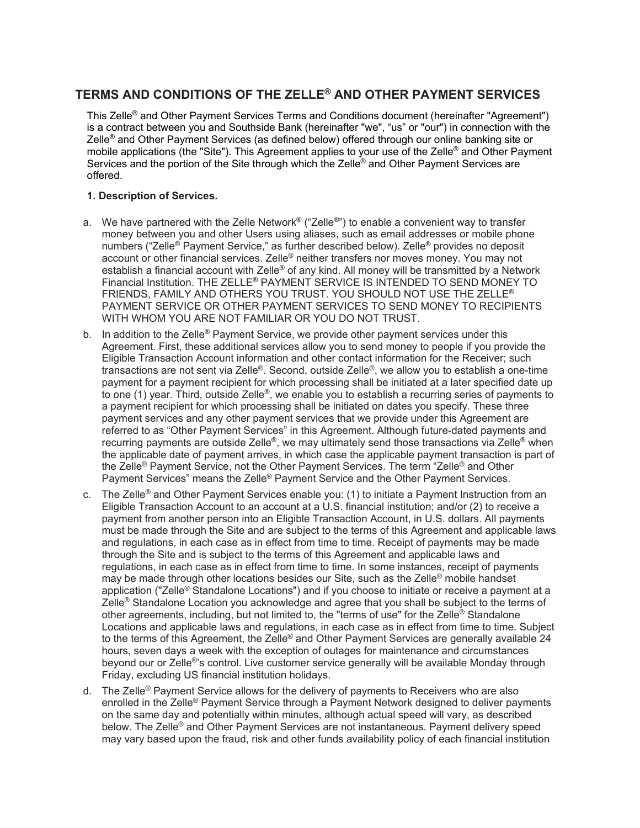# **TERMS AND CONDITIONS OF THE ZELLE® AND OTHER PAYMENT SERVICES**

This Zelle® and Other Payment Services Terms and Conditions document (hereinafter "Agreement") is a contract between you and Southside Bank (hereinafter "we", "us" or "our") in connection with the Zelle® and Other Payment Services (as defined below) offered through our online banking site or mobile applications (the "Site"). This Agreement applies to your use of the Zelle<sup>®</sup> and Other Payment Services and the portion of the Site through which the Zelle® and Other Payment Services are offered.

## **1. Description of Services.**

- a. We have partnered with the Zelle Network<sup>®</sup> ("Zelle®") to enable a convenient way to transfer money between you and other Users using aliases, such as email addresses or mobile phone numbers ("Zelle® Payment Service," as further described below). Zelle® provides no deposit account or other financial services. Zelle® neither transfers nor moves money. You may not establish a financial account with Zelle<sup>®</sup> of any kind. All money will be transmitted by a Network Financial Institution. THE ZELLE® PAYMENT SERVICE IS INTENDED TO SEND MONEY TO FRIENDS, FAMILY AND OTHERS YOU TRUST. YOU SHOULD NOT USE THE ZELLE® PAYMENT SERVICE OR OTHER PAYMENT SERVICES TO SEND MONEY TO RECIPIENTS WITH WHOM YOU ARE NOT FAMILIAR OR YOU DO NOT TRUST.
- b. In addition to the Zelle<sup>®</sup> Payment Service, we provide other payment services under this Agreement. First, these additional services allow you to send money to people if you provide the Eligible Transaction Account information and other contact information for the Receiver; such transactions are not sent via Zelle®. Second, outside Zelle®, we allow you to establish a one-time payment for a payment recipient for which processing shall be initiated at a later specified date up to one (1) year. Third, outside Zelle®, we enable you to establish a recurring series of payments to a payment recipient for which processing shall be initiated on dates you specify. These three payment services and any other payment services that we provide under this Agreement are referred to as "Other Payment Services" in this Agreement. Although future-dated payments and recurring payments are outside Zelle®, we may ultimately send those transactions via Zelle® when the applicable date of payment arrives, in which case the applicable payment transaction is part of the Zelle® Payment Service, not the Other Payment Services. The term "Zelle® and Other Payment Services" means the Zelle® Payment Service and the Other Payment Services.
- c. The Zelle<sup>®</sup> and Other Payment Services enable you: (1) to initiate a Payment Instruction from an Eligible Transaction Account to an account at a U.S. financial institution; and/or (2) to receive a payment from another person into an Eligible Transaction Account, in U.S. dollars. All payments must be made through the Site and are subject to the terms of this Agreement and applicable laws and regulations, in each case as in effect from time to time. Receipt of payments may be made through the Site and is subject to the terms of this Agreement and applicable laws and regulations, in each case as in effect from time to time. In some instances, receipt of payments may be made through other locations besides our Site, such as the Zelle® mobile handset application ("Zelle<sup>®</sup> Standalone Locations") and if you choose to initiate or receive a payment at a Zelle<sup>®</sup> Standalone Location you acknowledge and agree that you shall be subject to the terms of other agreements, including, but not limited to, the "terms of use" for the Zelle® Standalone Locations and applicable laws and regulations, in each case as in effect from time to time. Subject to the terms of this Agreement, the Zelle® and Other Payment Services are generally available 24 hours, seven days a week with the exception of outages for maintenance and circumstances beyond our or Zelle<sup>®</sup>'s control. Live customer service generally will be available Monday through Friday, excluding US financial institution holidays.
- d. The Zelle<sup>®</sup> Payment Service allows for the delivery of payments to Receivers who are also enrolled in the Zelle® Payment Service through a Payment Network designed to deliver payments on the same day and potentially within minutes, although actual speed will vary, as described below. The Zelle® and Other Payment Services are not instantaneous. Payment delivery speed may vary based upon the fraud, risk and other funds availability policy of each financial institution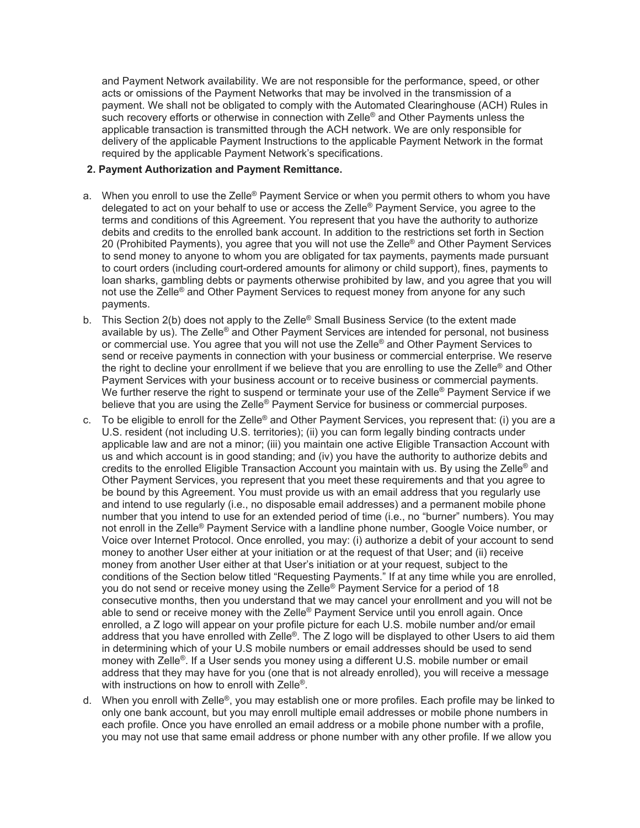and Payment Network availability. We are not responsible for the performance, speed, or other acts or omissions of the Payment Networks that may be involved in the transmission of a payment. We shall not be obligated to comply with the Automated Clearinghouse (ACH) Rules in such recovery efforts or otherwise in connection with Zelle<sup>®</sup> and Other Payments unless the applicable transaction is transmitted through the ACH network. We are only responsible for delivery of the applicable Payment Instructions to the applicable Payment Network in the format required by the applicable Payment Network's specifications.

#### **2. Payment Authorization and Payment Remittance.**

- a. When you enroll to use the Zelle® Payment Service or when you permit others to whom you have delegated to act on your behalf to use or access the Zelle® Payment Service, you agree to the terms and conditions of this Agreement. You represent that you have the authority to authorize debits and credits to the enrolled bank account. In addition to the restrictions set forth in Section 20 (Prohibited Payments), you agree that you will not use the Zelle<sup>®</sup> and Other Payment Services to send money to anyone to whom you are obligated for tax payments, payments made pursuant to court orders (including court-ordered amounts for alimony or child support), fines, payments to loan sharks, gambling debts or payments otherwise prohibited by law, and you agree that you will not use the Zelle® and Other Payment Services to request money from anyone for any such payments.
- b. This Section 2(b) does not apply to the Zelle<sup>®</sup> Small Business Service (to the extent made available by us). The Zelle® and Other Payment Services are intended for personal, not business or commercial use. You agree that you will not use the Zelle<sup>®</sup> and Other Payment Services to send or receive payments in connection with your business or commercial enterprise. We reserve the right to decline your enrollment if we believe that you are enrolling to use the Zelle® and Other Payment Services with your business account or to receive business or commercial payments. We further reserve the right to suspend or terminate your use of the Zelle<sup>®</sup> Payment Service if we believe that you are using the Zelle<sup>®</sup> Payment Service for business or commercial purposes.
- c. To be eligible to enroll for the Zelle® and Other Payment Services, you represent that: (i) you are a U.S. resident (not including U.S. territories); (ii) you can form legally binding contracts under applicable law and are not a minor; (iii) you maintain one active Eligible Transaction Account with us and which account is in good standing; and (iv) you have the authority to authorize debits and credits to the enrolled Eligible Transaction Account you maintain with us. By using the Zelle® and Other Payment Services, you represent that you meet these requirements and that you agree to be bound by this Agreement. You must provide us with an email address that you regularly use and intend to use regularly (i.e., no disposable email addresses) and a permanent mobile phone number that you intend to use for an extended period of time (i.e., no "burner" numbers). You may not enroll in the Zelle® Payment Service with a landline phone number, Google Voice number, or Voice over Internet Protocol. Once enrolled, you may: (i) authorize a debit of your account to send money to another User either at your initiation or at the request of that User; and (ii) receive money from another User either at that User's initiation or at your request, subject to the conditions of the Section below titled "Requesting Payments." If at any time while you are enrolled, you do not send or receive money using the Zelle<sup>®</sup> Payment Service for a period of 18 consecutive months, then you understand that we may cancel your enrollment and you will not be able to send or receive money with the Zelle<sup>®</sup> Payment Service until you enroll again. Once enrolled, a Z logo will appear on your profile picture for each U.S. mobile number and/or email address that you have enrolled with Zelle®. The Z logo will be displayed to other Users to aid them in determining which of your U.S mobile numbers or email addresses should be used to send money with Zelle<sup>®</sup>. If a User sends you money using a different U.S. mobile number or email address that they may have for you (one that is not already enrolled), you will receive a message with instructions on how to enroll with Zelle<sup>®</sup>.
- d. When you enroll with Zelle®, you may establish one or more profiles. Each profile may be linked to only one bank account, but you may enroll multiple email addresses or mobile phone numbers in each profile. Once you have enrolled an email address or a mobile phone number with a profile, you may not use that same email address or phone number with any other profile. If we allow you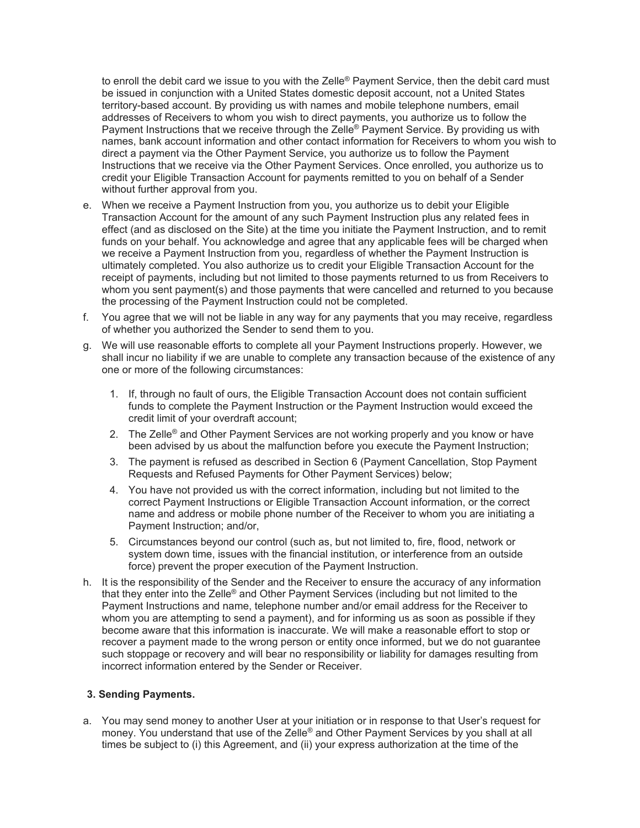to enroll the debit card we issue to you with the Zelle® Payment Service, then the debit card must be issued in conjunction with a United States domestic deposit account, not a United States territory-based account. By providing us with names and mobile telephone numbers, email addresses of Receivers to whom you wish to direct payments, you authorize us to follow the Payment Instructions that we receive through the Zelle<sup>®</sup> Payment Service. By providing us with names, bank account information and other contact information for Receivers to whom you wish to direct a payment via the Other Payment Service, you authorize us to follow the Payment Instructions that we receive via the Other Payment Services. Once enrolled, you authorize us to credit your Eligible Transaction Account for payments remitted to you on behalf of a Sender without further approval from you.

- e. When we receive a Payment Instruction from you, you authorize us to debit your Eligible Transaction Account for the amount of any such Payment Instruction plus any related fees in effect (and as disclosed on the Site) at the time you initiate the Payment Instruction, and to remit funds on your behalf. You acknowledge and agree that any applicable fees will be charged when we receive a Payment Instruction from you, regardless of whether the Payment Instruction is ultimately completed. You also authorize us to credit your Eligible Transaction Account for the receipt of payments, including but not limited to those payments returned to us from Receivers to whom you sent payment(s) and those payments that were cancelled and returned to you because the processing of the Payment Instruction could not be completed.
- f. You agree that we will not be liable in any way for any payments that you may receive, regardless of whether you authorized the Sender to send them to you.
- g. We will use reasonable efforts to complete all your Payment Instructions properly. However, we shall incur no liability if we are unable to complete any transaction because of the existence of any one or more of the following circumstances:
	- 1. If, through no fault of ours, the Eligible Transaction Account does not contain sufficient funds to complete the Payment Instruction or the Payment Instruction would exceed the credit limit of your overdraft account;
	- 2. The Zelle<sup>®</sup> and Other Payment Services are not working properly and you know or have been advised by us about the malfunction before you execute the Payment Instruction;
	- 3. The payment is refused as described in Section 6 (Payment Cancellation, Stop Payment Requests and Refused Payments for Other Payment Services) below;
	- 4. You have not provided us with the correct information, including but not limited to the correct Payment Instructions or Eligible Transaction Account information, or the correct name and address or mobile phone number of the Receiver to whom you are initiating a Payment Instruction; and/or,
	- 5. Circumstances beyond our control (such as, but not limited to, fire, flood, network or system down time, issues with the financial institution, or interference from an outside force) prevent the proper execution of the Payment Instruction.
- h. It is the responsibility of the Sender and the Receiver to ensure the accuracy of any information that they enter into the Zelle® and Other Payment Services (including but not limited to the Payment Instructions and name, telephone number and/or email address for the Receiver to whom you are attempting to send a payment), and for informing us as soon as possible if they become aware that this information is inaccurate. We will make a reasonable effort to stop or recover a payment made to the wrong person or entity once informed, but we do not guarantee such stoppage or recovery and will bear no responsibility or liability for damages resulting from incorrect information entered by the Sender or Receiver.

#### **3. Sending Payments.**

a. You may send money to another User at your initiation or in response to that User's request for money. You understand that use of the Zelle® and Other Payment Services by you shall at all times be subject to (i) this Agreement, and (ii) your express authorization at the time of the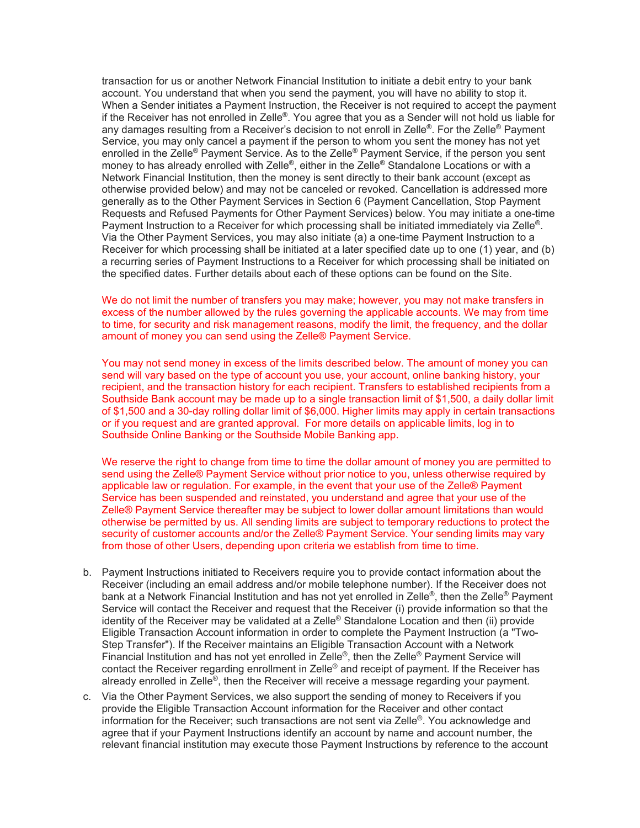transaction for us or another Network Financial Institution to initiate a debit entry to your bank account. You understand that when you send the payment, you will have no ability to stop it. When a Sender initiates a Payment Instruction, the Receiver is not required to accept the payment if the Receiver has not enrolled in Zelle®. You agree that you as a Sender will not hold us liable for any damages resulting from a Receiver's decision to not enroll in Zelle®. For the Zelle® Payment Service, you may only cancel a payment if the person to whom you sent the money has not yet enrolled in the Zelle<sup>®</sup> Payment Service. As to the Zelle<sup>®</sup> Payment Service, if the person you sent money to has already enrolled with Zelle®, either in the Zelle® Standalone Locations or with a Network Financial Institution, then the money is sent directly to their bank account (except as otherwise provided below) and may not be canceled or revoked. Cancellation is addressed more generally as to the Other Payment Services in Section 6 (Payment Cancellation, Stop Payment Requests and Refused Payments for Other Payment Services) below. You may initiate a one-time Payment Instruction to a Receiver for which processing shall be initiated immediately via Zelle®. Via the Other Payment Services, you may also initiate (a) a one-time Payment Instruction to a Receiver for which processing shall be initiated at a later specified date up to one (1) year, and (b) a recurring series of Payment Instructions to a Receiver for which processing shall be initiated on the specified dates. Further details about each of these options can be found on the Site.

We do not limit the number of transfers you may make; however, you may not make transfers in excess of the number allowed by the rules governing the applicable accounts. We may from time to time, for security and risk management reasons, modify the limit, the frequency, and the dollar amount of money you can send using the Zelle® Payment Service.

You may not send money in excess of the limits described below. The amount of money you can send will vary based on the type of account you use, your account, online banking history, your recipient, and the transaction history for each recipient. Transfers to established recipients from a Southside Bank account may be made up to a single transaction limit of \$1,500, a daily dollar limit of \$1,500 and a 30-day rolling dollar limit of \$6,000. Higher limits may apply in certain transactions or if you request and are granted approval. For more details on applicable limits, log in to Southside Online Banking or the Southside Mobile Banking app.

We reserve the right to change from time to time the dollar amount of money you are permitted to send using the Zelle® Payment Service without prior notice to you, unless otherwise required by applicable law or regulation. For example, in the event that your use of the Zelle® Payment Service has been suspended and reinstated, you understand and agree that your use of the Zelle® Payment Service thereafter may be subject to lower dollar amount limitations than would otherwise be permitted by us. All sending limits are subject to temporary reductions to protect the security of customer accounts and/or the Zelle® Payment Service. Your sending limits may vary from those of other Users, depending upon criteria we establish from time to time.

- b. Payment Instructions initiated to Receivers require you to provide contact information about the Receiver (including an email address and/or mobile telephone number). If the Receiver does not bank at a Network Financial Institution and has not yet enrolled in Zelle®, then the Zelle® Payment Service will contact the Receiver and request that the Receiver (i) provide information so that the identity of the Receiver may be validated at a Zelle® Standalone Location and then (ii) provide Eligible Transaction Account information in order to complete the Payment Instruction (a "Two-Step Transfer"). If the Receiver maintains an Eligible Transaction Account with a Network Financial Institution and has not yet enrolled in Zelle®, then the Zelle® Payment Service will contact the Receiver regarding enrollment in Zelle<sup>®</sup> and receipt of payment. If the Receiver has already enrolled in Zelle®, then the Receiver will receive a message regarding your payment.
- c. Via the Other Payment Services, we also support the sending of money to Receivers if you provide the Eligible Transaction Account information for the Receiver and other contact information for the Receiver; such transactions are not sent via Zelle®. You acknowledge and agree that if your Payment Instructions identify an account by name and account number, the relevant financial institution may execute those Payment Instructions by reference to the account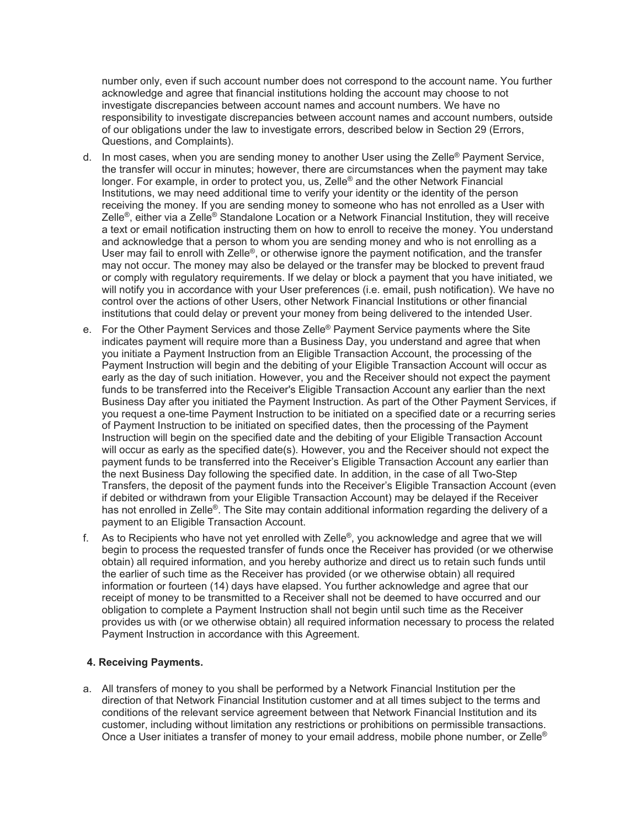number only, even if such account number does not correspond to the account name. You further acknowledge and agree that financial institutions holding the account may choose to not investigate discrepancies between account names and account numbers. We have no responsibility to investigate discrepancies between account names and account numbers, outside of our obligations under the law to investigate errors, described below in Section 29 (Errors, Questions, and Complaints).

- d. In most cases, when you are sending money to another User using the Zelle<sup>®</sup> Payment Service, the transfer will occur in minutes; however, there are circumstances when the payment may take longer. For example, in order to protect you, us, Zelle<sup>®</sup> and the other Network Financial Institutions, we may need additional time to verify your identity or the identity of the person receiving the money. If you are sending money to someone who has not enrolled as a User with Zelle®, either via a Zelle® Standalone Location or a Network Financial Institution, they will receive a text or email notification instructing them on how to enroll to receive the money. You understand and acknowledge that a person to whom you are sending money and who is not enrolling as a User may fail to enroll with Zelle®, or otherwise ignore the payment notification, and the transfer may not occur. The money may also be delayed or the transfer may be blocked to prevent fraud or comply with regulatory requirements. If we delay or block a payment that you have initiated, we will notify you in accordance with your User preferences (i.e. email, push notification). We have no control over the actions of other Users, other Network Financial Institutions or other financial institutions that could delay or prevent your money from being delivered to the intended User.
- e. For the Other Payment Services and those Zelle<sup>®</sup> Payment Service payments where the Site indicates payment will require more than a Business Day, you understand and agree that when you initiate a Payment Instruction from an Eligible Transaction Account, the processing of the Payment Instruction will begin and the debiting of your Eligible Transaction Account will occur as early as the day of such initiation. However, you and the Receiver should not expect the payment funds to be transferred into the Receiver's Eligible Transaction Account any earlier than the next Business Day after you initiated the Payment Instruction. As part of the Other Payment Services, if you request a one-time Payment Instruction to be initiated on a specified date or a recurring series of Payment Instruction to be initiated on specified dates, then the processing of the Payment Instruction will begin on the specified date and the debiting of your Eligible Transaction Account will occur as early as the specified date(s). However, you and the Receiver should not expect the payment funds to be transferred into the Receiver's Eligible Transaction Account any earlier than the next Business Day following the specified date. In addition, in the case of all Two-Step Transfers, the deposit of the payment funds into the Receiver's Eligible Transaction Account (even if debited or withdrawn from your Eligible Transaction Account) may be delayed if the Receiver has not enrolled in Zelle®. The Site may contain additional information regarding the delivery of a payment to an Eligible Transaction Account.
- f. As to Recipients who have not yet enrolled with Zelle®, you acknowledge and agree that we will begin to process the requested transfer of funds once the Receiver has provided (or we otherwise obtain) all required information, and you hereby authorize and direct us to retain such funds until the earlier of such time as the Receiver has provided (or we otherwise obtain) all required information or fourteen (14) days have elapsed. You further acknowledge and agree that our receipt of money to be transmitted to a Receiver shall not be deemed to have occurred and our obligation to complete a Payment Instruction shall not begin until such time as the Receiver provides us with (or we otherwise obtain) all required information necessary to process the related Payment Instruction in accordance with this Agreement.

#### **4. Receiving Payments.**

a. All transfers of money to you shall be performed by a Network Financial Institution per the direction of that Network Financial Institution customer and at all times subject to the terms and conditions of the relevant service agreement between that Network Financial Institution and its customer, including without limitation any restrictions or prohibitions on permissible transactions. Once a User initiates a transfer of money to your email address, mobile phone number, or Zelle<sup>®</sup>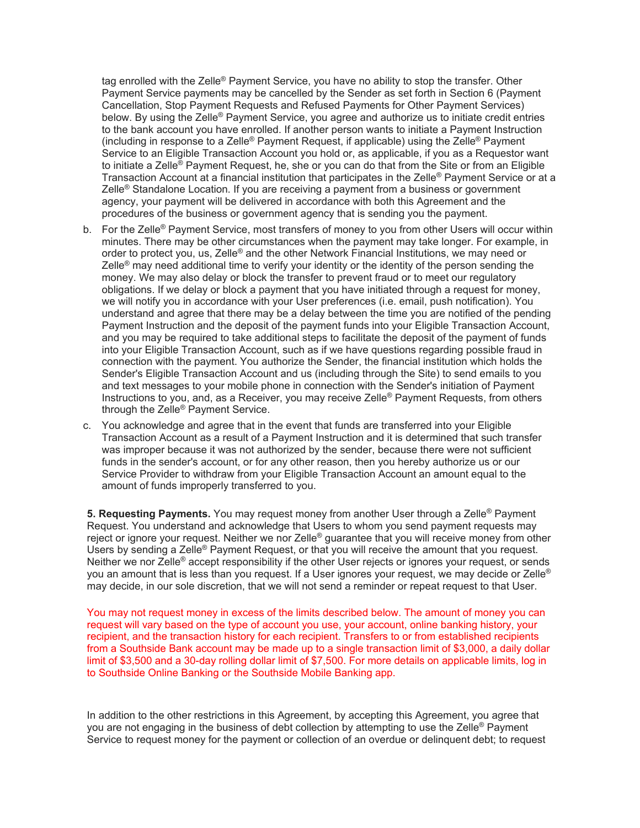tag enrolled with the Zelle® Payment Service, you have no ability to stop the transfer. Other Payment Service payments may be cancelled by the Sender as set forth in Section 6 (Payment Cancellation, Stop Payment Requests and Refused Payments for Other Payment Services) below. By using the Zelle® Payment Service, you agree and authorize us to initiate credit entries to the bank account you have enrolled. If another person wants to initiate a Payment Instruction (including in response to a Zelle<sup>®</sup> Payment Request, if applicable) using the Zelle<sup>®</sup> Payment Service to an Eligible Transaction Account you hold or, as applicable, if you as a Requestor want to initiate a Zelle<sup>®</sup> Payment Request, he, she or you can do that from the Site or from an Eligible Transaction Account at a financial institution that participates in the Zelle<sup>®</sup> Payment Service or at a Zelle<sup>®</sup> Standalone Location. If you are receiving a payment from a business or government agency, your payment will be delivered in accordance with both this Agreement and the procedures of the business or government agency that is sending you the payment.

- b. For the Zelle<sup>®</sup> Payment Service, most transfers of money to you from other Users will occur within minutes. There may be other circumstances when the payment may take longer. For example, in order to protect you, us, Zelle® and the other Network Financial Institutions, we may need or Zelle<sup>®</sup> may need additional time to verify your identity or the identity of the person sending the money. We may also delay or block the transfer to prevent fraud or to meet our regulatory obligations. If we delay or block a payment that you have initiated through a request for money, we will notify you in accordance with your User preferences (i.e. email, push notification). You understand and agree that there may be a delay between the time you are notified of the pending Payment Instruction and the deposit of the payment funds into your Eligible Transaction Account, and you may be required to take additional steps to facilitate the deposit of the payment of funds into your Eligible Transaction Account, such as if we have questions regarding possible fraud in connection with the payment. You authorize the Sender, the financial institution which holds the Sender's Eligible Transaction Account and us (including through the Site) to send emails to you and text messages to your mobile phone in connection with the Sender's initiation of Payment Instructions to you, and, as a Receiver, you may receive Zelle® Payment Requests, from others through the Zelle® Payment Service.
- c. You acknowledge and agree that in the event that funds are transferred into your Eligible Transaction Account as a result of a Payment Instruction and it is determined that such transfer was improper because it was not authorized by the sender, because there were not sufficient funds in the sender's account, or for any other reason, then you hereby authorize us or our Service Provider to withdraw from your Eligible Transaction Account an amount equal to the amount of funds improperly transferred to you.

**5. Requesting Payments.** You may request money from another User through a Zelle® Payment Request. You understand and acknowledge that Users to whom you send payment requests may reject or ignore your request. Neither we nor Zelle® guarantee that you will receive money from other Users by sending a Zelle<sup>®</sup> Payment Request, or that you will receive the amount that you request. Neither we nor Zelle<sup>®</sup> accept responsibility if the other User rejects or ignores your request, or sends you an amount that is less than you request. If a User ignores your request, we may decide or Zelle® may decide, in our sole discretion, that we will not send a reminder or repeat request to that User.

You may not request money in excess of the limits described below. The amount of money you can request will vary based on the type of account you use, your account, online banking history, your recipient, and the transaction history for each recipient. Transfers to or from established recipients from a Southside Bank account may be made up to a single transaction limit of \$3,000, a daily dollar limit of \$3,500 and a 30-day rolling dollar limit of \$7,500. For more details on applicable limits, log in to Southside Online Banking or the Southside Mobile Banking app.

In addition to the other restrictions in this Agreement, by accepting this Agreement, you agree that you are not engaging in the business of debt collection by attempting to use the Zelle<sup>®</sup> Payment Service to request money for the payment or collection of an overdue or delinquent debt; to request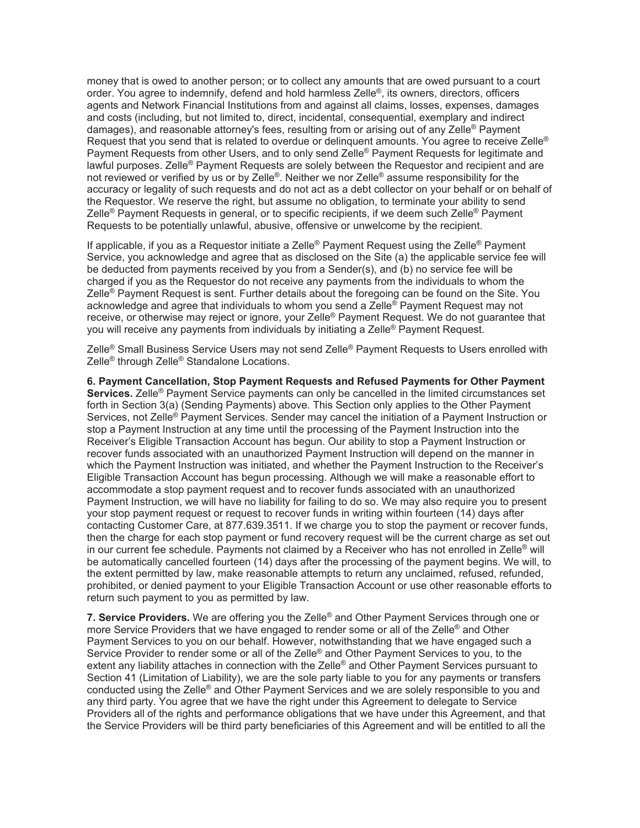money that is owed to another person; or to collect any amounts that are owed pursuant to a court order. You agree to indemnify, defend and hold harmless Zelle®, its owners, directors, officers agents and Network Financial Institutions from and against all claims, losses, expenses, damages and costs (including, but not limited to, direct, incidental, consequential, exemplary and indirect damages), and reasonable attorney's fees, resulting from or arising out of any Zelle® Payment Request that you send that is related to overdue or delinquent amounts. You agree to receive Zelle<sup>®</sup> Payment Requests from other Users, and to only send Zelle<sup>®</sup> Payment Requests for legitimate and lawful purposes. Zelle® Payment Requests are solely between the Requestor and recipient and are not reviewed or verified by us or by Zelle®. Neither we nor Zelle® assume responsibility for the accuracy or legality of such requests and do not act as a debt collector on your behalf or on behalf of the Requestor. We reserve the right, but assume no obligation, to terminate your ability to send Zelle® Payment Requests in general, or to specific recipients, if we deem such Zelle® Payment Requests to be potentially unlawful, abusive, offensive or unwelcome by the recipient.

If applicable, if you as a Requestor initiate a Zelle® Payment Request using the Zelle® Payment Service, you acknowledge and agree that as disclosed on the Site (a) the applicable service fee will be deducted from payments received by you from a Sender(s), and (b) no service fee will be charged if you as the Requestor do not receive any payments from the individuals to whom the Zelle<sup>®</sup> Payment Request is sent. Further details about the foregoing can be found on the Site. You acknowledge and agree that individuals to whom you send a Zelle® Payment Request may not receive, or otherwise may reject or ignore, your Zelle® Payment Request. We do not guarantee that you will receive any payments from individuals by initiating a Zelle® Payment Request.

Zelle® Small Business Service Users may not send Zelle® Payment Requests to Users enrolled with Zelle<sup>®</sup> through Zelle<sup>®</sup> Standalone Locations.

**6. Payment Cancellation, Stop Payment Requests and Refused Payments for Other Payment Services.** Zelle® Payment Service payments can only be cancelled in the limited circumstances set forth in Section 3(a) (Sending Payments) above. This Section only applies to the Other Payment Services, not Zelle® Payment Services. Sender may cancel the initiation of a Payment Instruction or stop a Payment Instruction at any time until the processing of the Payment Instruction into the Receiver's Eligible Transaction Account has begun. Our ability to stop a Payment Instruction or recover funds associated with an unauthorized Payment Instruction will depend on the manner in which the Payment Instruction was initiated, and whether the Payment Instruction to the Receiver's Eligible Transaction Account has begun processing. Although we will make a reasonable effort to accommodate a stop payment request and to recover funds associated with an unauthorized Payment Instruction, we will have no liability for failing to do so. We may also require you to present your stop payment request or request to recover funds in writing within fourteen (14) days after contacting Customer Care, at 877.639.3511. If we charge you to stop the payment or recover funds, then the charge for each stop payment or fund recovery request will be the current charge as set out in our current fee schedule. Payments not claimed by a Receiver who has not enrolled in Zelle<sup>®</sup> will be automatically cancelled fourteen (14) days after the processing of the payment begins. We will, to the extent permitted by law, make reasonable attempts to return any unclaimed, refused, refunded, prohibited, or denied payment to your Eligible Transaction Account or use other reasonable efforts to return such payment to you as permitted by law.

**7. Service Providers.** We are offering you the Zelle® and Other Payment Services through one or more Service Providers that we have engaged to render some or all of the Zelle<sup>®</sup> and Other Payment Services to you on our behalf. However, notwithstanding that we have engaged such a Service Provider to render some or all of the Zelle<sup>®</sup> and Other Payment Services to you, to the extent any liability attaches in connection with the Zelle<sup>®</sup> and Other Payment Services pursuant to Section 41 (Limitation of Liability), we are the sole party liable to you for any payments or transfers conducted using the Zelle® and Other Payment Services and we are solely responsible to you and any third party. You agree that we have the right under this Agreement to delegate to Service Providers all of the rights and performance obligations that we have under this Agreement, and that the Service Providers will be third party beneficiaries of this Agreement and will be entitled to all the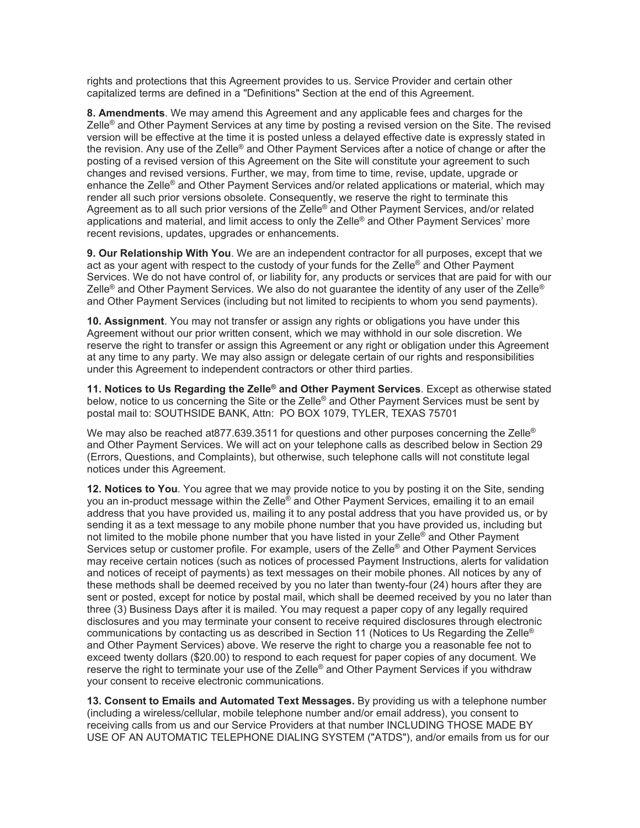rights and protections that this Agreement provides to us. Service Provider and certain other capitalized terms are defined in a "Definitions" Section at the end of this Agreement.

**8. Amendments**. We may amend this Agreement and any applicable fees and charges for the Zelle<sup>®</sup> and Other Payment Services at any time by posting a revised version on the Site. The revised version will be effective at the time it is posted unless a delayed effective date is expressly stated in the revision. Any use of the Zelle® and Other Payment Services after a notice of change or after the posting of a revised version of this Agreement on the Site will constitute your agreement to such changes and revised versions. Further, we may, from time to time, revise, update, upgrade or enhance the Zelle<sup>®</sup> and Other Payment Services and/or related applications or material, which may render all such prior versions obsolete. Consequently, we reserve the right to terminate this Agreement as to all such prior versions of the Zelle® and Other Payment Services, and/or related applications and material, and limit access to only the Zelle® and Other Payment Services' more recent revisions, updates, upgrades or enhancements.

**9. Our Relationship With You**. We are an independent contractor for all purposes, except that we act as your agent with respect to the custody of your funds for the Zelle® and Other Payment Services. We do not have control of, or liability for, any products or services that are paid for with our Zelle® and Other Payment Services. We also do not quarantee the identity of any user of the Zelle® and Other Payment Services (including but not limited to recipients to whom you send payments).

**10. Assignment**. You may not transfer or assign any rights or obligations you have under this Agreement without our prior written consent, which we may withhold in our sole discretion. We reserve the right to transfer or assign this Agreement or any right or obligation under this Agreement at any time to any party. We may also assign or delegate certain of our rights and responsibilities under this Agreement to independent contractors or other third parties.

**11. Notices to Us Regarding the Zelle® and Other Payment Services**. Except as otherwise stated below, notice to us concerning the Site or the Zelle<sup>®</sup> and Other Payment Services must be sent by postal mail to: SOUTHSIDE BANK, Attn: PO BOX 1079, TYLER, TEXAS 75701

We may also be reached at877.639.3511 for questions and other purposes concerning the Zelle® and Other Payment Services. We will act on your telephone calls as described below in Section 29 (Errors, Questions, and Complaints), but otherwise, such telephone calls will not constitute legal notices under this Agreement.

**12. Notices to You**. You agree that we may provide notice to you by posting it on the Site, sending you an in-product message within the Zelle® and Other Payment Services, emailing it to an email address that you have provided us, mailing it to any postal address that you have provided us, or by sending it as a text message to any mobile phone number that you have provided us, including but not limited to the mobile phone number that you have listed in your Zelle<sup>®</sup> and Other Payment Services setup or customer profile. For example, users of the Zelle<sup>®</sup> and Other Payment Services may receive certain notices (such as notices of processed Payment Instructions, alerts for validation and notices of receipt of payments) as text messages on their mobile phones. All notices by any of these methods shall be deemed received by you no later than twenty-four (24) hours after they are sent or posted, except for notice by postal mail, which shall be deemed received by you no later than three (3) Business Days after it is mailed. You may request a paper copy of any legally required disclosures and you may terminate your consent to receive required disclosures through electronic communications by contacting us as described in Section 11 (Notices to Us Regarding the Zelle® and Other Payment Services) above. We reserve the right to charge you a reasonable fee not to exceed twenty dollars (\$20.00) to respond to each request for paper copies of any document. We reserve the right to terminate your use of the Zelle® and Other Payment Services if you withdraw your consent to receive electronic communications.

**13. Consent to Emails and Automated Text Messages.** By providing us with a telephone number (including a wireless/cellular, mobile telephone number and/or email address), you consent to receiving calls from us and our Service Providers at that number INCLUDING THOSE MADE BY USE OF AN AUTOMATIC TELEPHONE DIALING SYSTEM ("ATDS"), and/or emails from us for our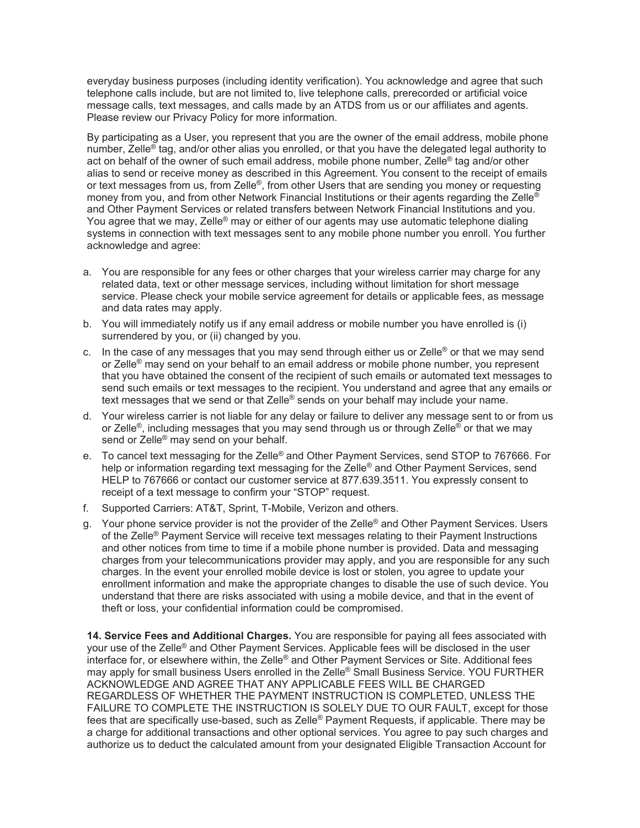everyday business purposes (including identity verification). You acknowledge and agree that such telephone calls include, but are not limited to, live telephone calls, prerecorded or artificial voice message calls, text messages, and calls made by an ATDS from us or our affiliates and agents. Please review our Privacy Policy for more information.

By participating as a User, you represent that you are the owner of the email address, mobile phone number, Zelle® tag, and/or other alias you enrolled, or that you have the delegated legal authority to act on behalf of the owner of such email address, mobile phone number, Zelle® tag and/or other alias to send or receive money as described in this Agreement. You consent to the receipt of emails or text messages from us, from Zelle®, from other Users that are sending you money or requesting money from you, and from other Network Financial Institutions or their agents regarding the Zelle<sup>®</sup> and Other Payment Services or related transfers between Network Financial Institutions and you. You agree that we may, Zelle<sup>®</sup> may or either of our agents may use automatic telephone dialing systems in connection with text messages sent to any mobile phone number you enroll. You further acknowledge and agree:

- a. You are responsible for any fees or other charges that your wireless carrier may charge for any related data, text or other message services, including without limitation for short message service. Please check your mobile service agreement for details or applicable fees, as message and data rates may apply.
- b. You will immediately notify us if any email address or mobile number you have enrolled is (i) surrendered by you, or (ii) changed by you.
- c. In the case of any messages that you may send through either us or Zelle<sup>®</sup> or that we may send or Zelle® may send on your behalf to an email address or mobile phone number, you represent that you have obtained the consent of the recipient of such emails or automated text messages to send such emails or text messages to the recipient. You understand and agree that any emails or text messages that we send or that Zelle<sup>®</sup> sends on your behalf may include your name.
- d. Your wireless carrier is not liable for any delay or failure to deliver any message sent to or from us or Zelle<sup>®</sup>, including messages that you may send through us or through Zelle<sup>®</sup> or that we may send or Zelle<sup>®</sup> may send on your behalf.
- e. To cancel text messaging for the Zelle<sup>®</sup> and Other Payment Services, send STOP to 767666. For help or information regarding text messaging for the Zelle<sup>®</sup> and Other Payment Services, send HELP to 767666 or contact our customer service at 877.639.3511. You expressly consent to receipt of a text message to confirm your "STOP" request.
- f. Supported Carriers: AT&T, Sprint, T-Mobile, Verizon and others.
- g. Your phone service provider is not the provider of the Zelle® and Other Payment Services. Users of the Zelle® Payment Service will receive text messages relating to their Payment Instructions and other notices from time to time if a mobile phone number is provided. Data and messaging charges from your telecommunications provider may apply, and you are responsible for any such charges. In the event your enrolled mobile device is lost or stolen, you agree to update your enrollment information and make the appropriate changes to disable the use of such device. You understand that there are risks associated with using a mobile device, and that in the event of theft or loss, your confidential information could be compromised.

**14. Service Fees and Additional Charges.** You are responsible for paying all fees associated with your use of the Zelle® and Other Payment Services. Applicable fees will be disclosed in the user interface for, or elsewhere within, the Zelle® and Other Payment Services or Site. Additional fees may apply for small business Users enrolled in the Zelle<sup>®</sup> Small Business Service. YOU FURTHER ACKNOWLEDGE AND AGREE THAT ANY APPLICABLE FEES WILL BE CHARGED REGARDLESS OF WHETHER THE PAYMENT INSTRUCTION IS COMPLETED, UNLESS THE FAILURE TO COMPLETE THE INSTRUCTION IS SOLELY DUE TO OUR FAULT, except for those fees that are specifically use-based, such as Zelle® Payment Requests, if applicable. There may be a charge for additional transactions and other optional services. You agree to pay such charges and authorize us to deduct the calculated amount from your designated Eligible Transaction Account for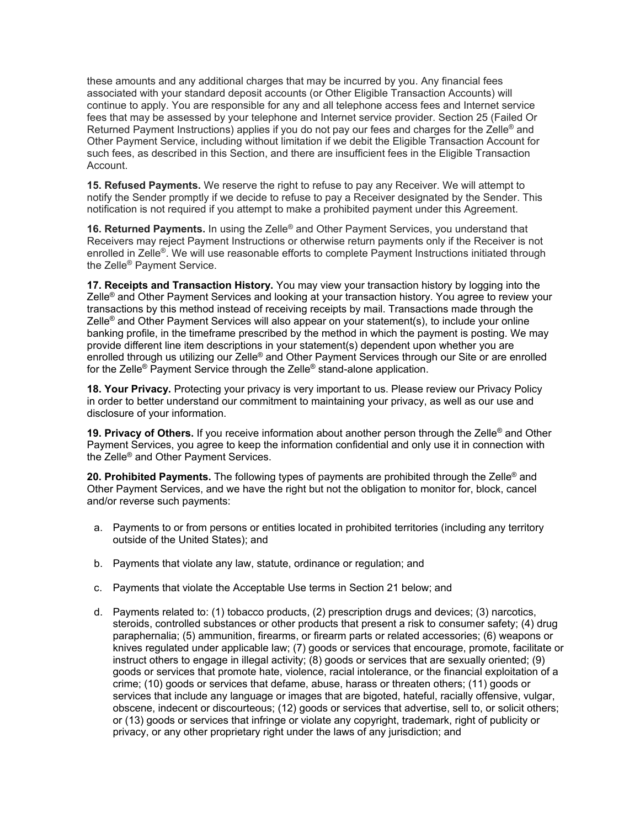these amounts and any additional charges that may be incurred by you. Any financial fees associated with your standard deposit accounts (or Other Eligible Transaction Accounts) will continue to apply. You are responsible for any and all telephone access fees and Internet service fees that may be assessed by your telephone and Internet service provider. Section 25 (Failed Or Returned Payment Instructions) applies if you do not pay our fees and charges for the Zelle<sup>®</sup> and Other Payment Service, including without limitation if we debit the Eligible Transaction Account for such fees, as described in this Section, and there are insufficient fees in the Eligible Transaction Account.

**15. Refused Payments.** We reserve the right to refuse to pay any Receiver. We will attempt to notify the Sender promptly if we decide to refuse to pay a Receiver designated by the Sender. This notification is not required if you attempt to make a prohibited payment under this Agreement.

**16. Returned Payments.** In using the Zelle<sup>®</sup> and Other Payment Services, you understand that Receivers may reject Payment Instructions or otherwise return payments only if the Receiver is not enrolled in Zelle®. We will use reasonable efforts to complete Payment Instructions initiated through the Zelle® Payment Service.

**17. Receipts and Transaction History.** You may view your transaction history by logging into the Zelle® and Other Payment Services and looking at your transaction history. You agree to review your transactions by this method instead of receiving receipts by mail. Transactions made through the Zelle<sup>®</sup> and Other Payment Services will also appear on your statement(s), to include your online banking profile, in the timeframe prescribed by the method in which the payment is posting. We may provide different line item descriptions in your statement(s) dependent upon whether you are enrolled through us utilizing our Zelle® and Other Payment Services through our Site or are enrolled for the Zelle® Payment Service through the Zelle® stand-alone application.

**18. Your Privacy.** Protecting your privacy is very important to us. Please review our Privacy Policy in order to better understand our commitment to maintaining your privacy, as well as our use and disclosure of your information.

**19. Privacy of Others.** If you receive information about another person through the Zelle® and Other Payment Services, you agree to keep the information confidential and only use it in connection with the Zelle® and Other Payment Services.

**20. Prohibited Payments.** The following types of payments are prohibited through the Zelle® and Other Payment Services, and we have the right but not the obligation to monitor for, block, cancel and/or reverse such payments:

- a. Payments to or from persons or entities located in prohibited territories (including any territory outside of the United States); and
- b. Payments that violate any law, statute, ordinance or regulation; and
- c. Payments that violate the Acceptable Use terms in Section 21 below; and
- d. Payments related to: (1) tobacco products, (2) prescription drugs and devices; (3) narcotics, steroids, controlled substances or other products that present a risk to consumer safety; (4) drug paraphernalia; (5) ammunition, firearms, or firearm parts or related accessories; (6) weapons or knives regulated under applicable law; (7) goods or services that encourage, promote, facilitate or instruct others to engage in illegal activity; (8) goods or services that are sexually oriented; (9) goods or services that promote hate, violence, racial intolerance, or the financial exploitation of a crime; (10) goods or services that defame, abuse, harass or threaten others; (11) goods or services that include any language or images that are bigoted, hateful, racially offensive, vulgar, obscene, indecent or discourteous; (12) goods or services that advertise, sell to, or solicit others; or (13) goods or services that infringe or violate any copyright, trademark, right of publicity or privacy, or any other proprietary right under the laws of any jurisdiction; and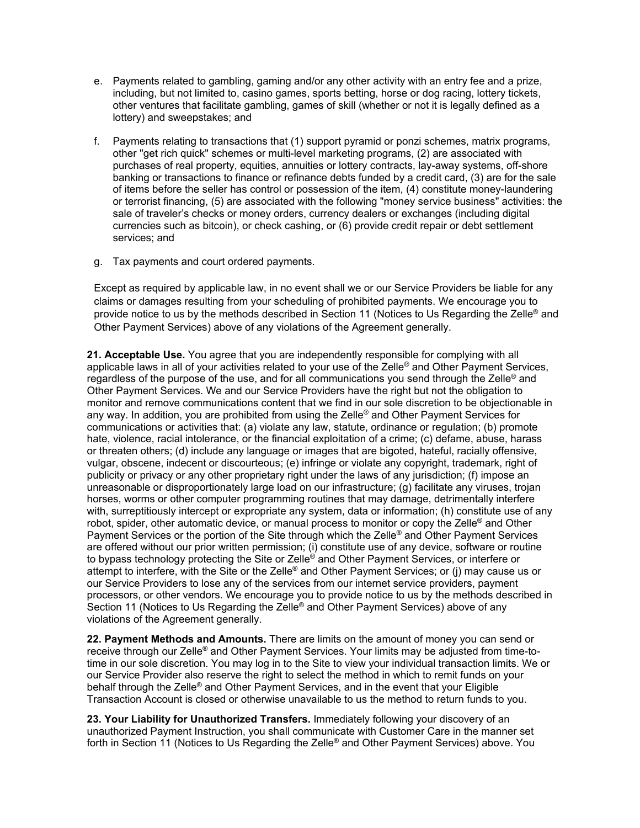- e. Payments related to gambling, gaming and/or any other activity with an entry fee and a prize, including, but not limited to, casino games, sports betting, horse or dog racing, lottery tickets, other ventures that facilitate gambling, games of skill (whether or not it is legally defined as a lottery) and sweepstakes; and
- f. Payments relating to transactions that (1) support pyramid or ponzi schemes, matrix programs, other "get rich quick" schemes or multi-level marketing programs, (2) are associated with purchases of real property, equities, annuities or lottery contracts, lay-away systems, off-shore banking or transactions to finance or refinance debts funded by a credit card, (3) are for the sale of items before the seller has control or possession of the item, (4) constitute money-laundering or terrorist financing, (5) are associated with the following "money service business" activities: the sale of traveler's checks or money orders, currency dealers or exchanges (including digital currencies such as bitcoin), or check cashing, or (6) provide credit repair or debt settlement services; and
- g. Tax payments and court ordered payments.

Except as required by applicable law, in no event shall we or our Service Providers be liable for any claims or damages resulting from your scheduling of prohibited payments. We encourage you to provide notice to us by the methods described in Section 11 (Notices to Us Regarding the Zelle® and Other Payment Services) above of any violations of the Agreement generally.

**21. Acceptable Use.** You agree that you are independently responsible for complying with all applicable laws in all of your activities related to your use of the Zelle<sup>®</sup> and Other Payment Services, regardless of the purpose of the use, and for all communications you send through the Zelle<sup>®</sup> and Other Payment Services. We and our Service Providers have the right but not the obligation to monitor and remove communications content that we find in our sole discretion to be objectionable in any way. In addition, you are prohibited from using the Zelle<sup>®</sup> and Other Payment Services for communications or activities that: (a) violate any law, statute, ordinance or regulation; (b) promote hate, violence, racial intolerance, or the financial exploitation of a crime; (c) defame, abuse, harass or threaten others; (d) include any language or images that are bigoted, hateful, racially offensive, vulgar, obscene, indecent or discourteous; (e) infringe or violate any copyright, trademark, right of publicity or privacy or any other proprietary right under the laws of any jurisdiction; (f) impose an unreasonable or disproportionately large load on our infrastructure; (g) facilitate any viruses, trojan horses, worms or other computer programming routines that may damage, detrimentally interfere with, surreptitiously intercept or expropriate any system, data or information; (h) constitute use of any robot, spider, other automatic device, or manual process to monitor or copy the Zelle<sup>®</sup> and Other Payment Services or the portion of the Site through which the Zelle® and Other Payment Services are offered without our prior written permission; (i) constitute use of any device, software or routine to bypass technology protecting the Site or Zelle® and Other Payment Services, or interfere or attempt to interfere, with the Site or the Zelle® and Other Payment Services; or (j) may cause us or our Service Providers to lose any of the services from our internet service providers, payment processors, or other vendors. We encourage you to provide notice to us by the methods described in Section 11 (Notices to Us Regarding the Zelle® and Other Payment Services) above of any violations of the Agreement generally.

**22. Payment Methods and Amounts.** There are limits on the amount of money you can send or receive through our Zelle® and Other Payment Services. Your limits may be adjusted from time-totime in our sole discretion. You may log in to the Site to view your individual transaction limits. We or our Service Provider also reserve the right to select the method in which to remit funds on your behalf through the Zelle® and Other Payment Services, and in the event that your Eligible Transaction Account is closed or otherwise unavailable to us the method to return funds to you.

**23. Your Liability for Unauthorized Transfers.** Immediately following your discovery of an unauthorized Payment Instruction, you shall communicate with Customer Care in the manner set forth in Section 11 (Notices to Us Regarding the Zelle® and Other Payment Services) above. You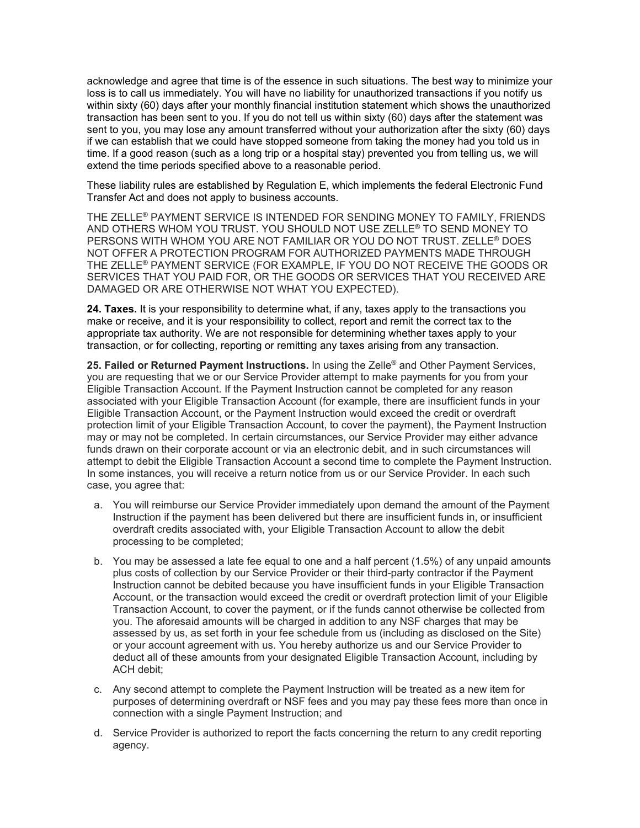acknowledge and agree that time is of the essence in such situations. The best way to minimize your loss is to call us immediately. You will have no liability for unauthorized transactions if you notify us within sixty (60) days after your monthly financial institution statement which shows the unauthorized transaction has been sent to you. If you do not tell us within sixty (60) days after the statement was sent to you, you may lose any amount transferred without your authorization after the sixty (60) days if we can establish that we could have stopped someone from taking the money had you told us in time. If a good reason (such as a long trip or a hospital stay) prevented you from telling us, we will extend the time periods specified above to a reasonable period.

These liability rules are established by Regulation E, which implements the federal Electronic Fund Transfer Act and does not apply to business accounts.

THE ZELLE® PAYMENT SERVICE IS INTENDED FOR SENDING MONEY TO FAMILY, FRIENDS AND OTHERS WHOM YOU TRUST. YOU SHOULD NOT USE ZELLE® TO SEND MONEY TO PERSONS WITH WHOM YOU ARE NOT FAMILIAR OR YOU DO NOT TRUST. ZELLE® DOES NOT OFFER A PROTECTION PROGRAM FOR AUTHORIZED PAYMENTS MADE THROUGH THE ZELLE® PAYMENT SERVICE (FOR EXAMPLE, IF YOU DO NOT RECEIVE THE GOODS OR SERVICES THAT YOU PAID FOR, OR THE GOODS OR SERVICES THAT YOU RECEIVED ARE DAMAGED OR ARE OTHERWISE NOT WHAT YOU EXPECTED).

**24. Taxes.** It is your responsibility to determine what, if any, taxes apply to the transactions you make or receive, and it is your responsibility to collect, report and remit the correct tax to the appropriate tax authority. We are not responsible for determining whether taxes apply to your transaction, or for collecting, reporting or remitting any taxes arising from any transaction.

**25. Failed or Returned Payment Instructions.** In using the Zelle® and Other Payment Services, you are requesting that we or our Service Provider attempt to make payments for you from your Eligible Transaction Account. If the Payment Instruction cannot be completed for any reason associated with your Eligible Transaction Account (for example, there are insufficient funds in your Eligible Transaction Account, or the Payment Instruction would exceed the credit or overdraft protection limit of your Eligible Transaction Account, to cover the payment), the Payment Instruction may or may not be completed. In certain circumstances, our Service Provider may either advance funds drawn on their corporate account or via an electronic debit, and in such circumstances will attempt to debit the Eligible Transaction Account a second time to complete the Payment Instruction. In some instances, you will receive a return notice from us or our Service Provider. In each such case, you agree that:

- a. You will reimburse our Service Provider immediately upon demand the amount of the Payment Instruction if the payment has been delivered but there are insufficient funds in, or insufficient overdraft credits associated with, your Eligible Transaction Account to allow the debit processing to be completed;
- b. You may be assessed a late fee equal to one and a half percent (1.5%) of any unpaid amounts plus costs of collection by our Service Provider or their third-party contractor if the Payment Instruction cannot be debited because you have insufficient funds in your Eligible Transaction Account, or the transaction would exceed the credit or overdraft protection limit of your Eligible Transaction Account, to cover the payment, or if the funds cannot otherwise be collected from you. The aforesaid amounts will be charged in addition to any NSF charges that may be assessed by us, as set forth in your fee schedule from us (including as disclosed on the Site) or your account agreement with us. You hereby authorize us and our Service Provider to deduct all of these amounts from your designated Eligible Transaction Account, including by ACH debit;
- c. Any second attempt to complete the Payment Instruction will be treated as a new item for purposes of determining overdraft or NSF fees and you may pay these fees more than once in connection with a single Payment Instruction; and
- d. Service Provider is authorized to report the facts concerning the return to any credit reporting agency.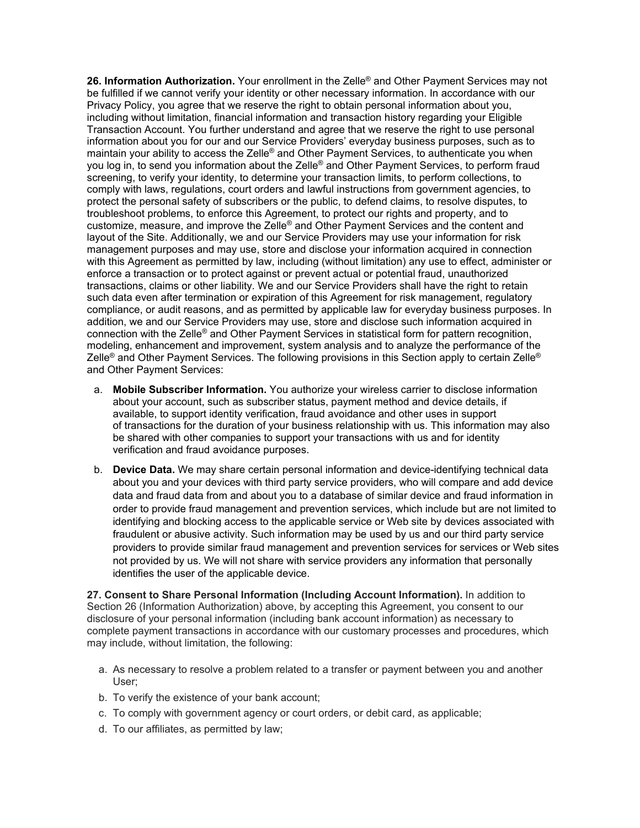**26. Information Authorization.** Your enrollment in the Zelle® and Other Payment Services may not be fulfilled if we cannot verify your identity or other necessary information. In accordance with our Privacy Policy, you agree that we reserve the right to obtain personal information about you, including without limitation, financial information and transaction history regarding your Eligible Transaction Account. You further understand and agree that we reserve the right to use personal information about you for our and our Service Providers' everyday business purposes, such as to maintain your ability to access the Zelle® and Other Payment Services, to authenticate you when you log in, to send you information about the Zelle® and Other Payment Services, to perform fraud screening, to verify your identity, to determine your transaction limits, to perform collections, to comply with laws, regulations, court orders and lawful instructions from government agencies, to protect the personal safety of subscribers or the public, to defend claims, to resolve disputes, to troubleshoot problems, to enforce this Agreement, to protect our rights and property, and to customize, measure, and improve the Zelle® and Other Payment Services and the content and layout of the Site. Additionally, we and our Service Providers may use your information for risk management purposes and may use, store and disclose your information acquired in connection with this Agreement as permitted by law, including (without limitation) any use to effect, administer or enforce a transaction or to protect against or prevent actual or potential fraud, unauthorized transactions, claims or other liability. We and our Service Providers shall have the right to retain such data even after termination or expiration of this Agreement for risk management, regulatory compliance, or audit reasons, and as permitted by applicable law for everyday business purposes. In addition, we and our Service Providers may use, store and disclose such information acquired in connection with the Zelle® and Other Payment Services in statistical form for pattern recognition, modeling, enhancement and improvement, system analysis and to analyze the performance of the Zelle<sup>®</sup> and Other Payment Services. The following provisions in this Section apply to certain Zelle<sup>®</sup> and Other Payment Services:

- a. **Mobile Subscriber Information.** You authorize your wireless carrier to disclose information about your account, such as subscriber status, payment method and device details, if available, to support identity verification, fraud avoidance and other uses in support of transactions for the duration of your business relationship with us. This information may also be shared with other companies to support your transactions with us and for identity verification and fraud avoidance purposes.
- b. **Device Data.** We may share certain personal information and device-identifying technical data about you and your devices with third party service providers, who will compare and add device data and fraud data from and about you to a database of similar device and fraud information in order to provide fraud management and prevention services, which include but are not limited to identifying and blocking access to the applicable service or Web site by devices associated with fraudulent or abusive activity. Such information may be used by us and our third party service providers to provide similar fraud management and prevention services for services or Web sites not provided by us. We will not share with service providers any information that personally identifies the user of the applicable device.

**27. Consent to Share Personal Information (Including Account Information).** In addition to Section 26 (Information Authorization) above, by accepting this Agreement, you consent to our disclosure of your personal information (including bank account information) as necessary to complete payment transactions in accordance with our customary processes and procedures, which may include, without limitation, the following:

- a. As necessary to resolve a problem related to a transfer or payment between you and another User;
- b. To verify the existence of your bank account;
- c. To comply with government agency or court orders, or debit card, as applicable;
- d. To our affiliates, as permitted by law;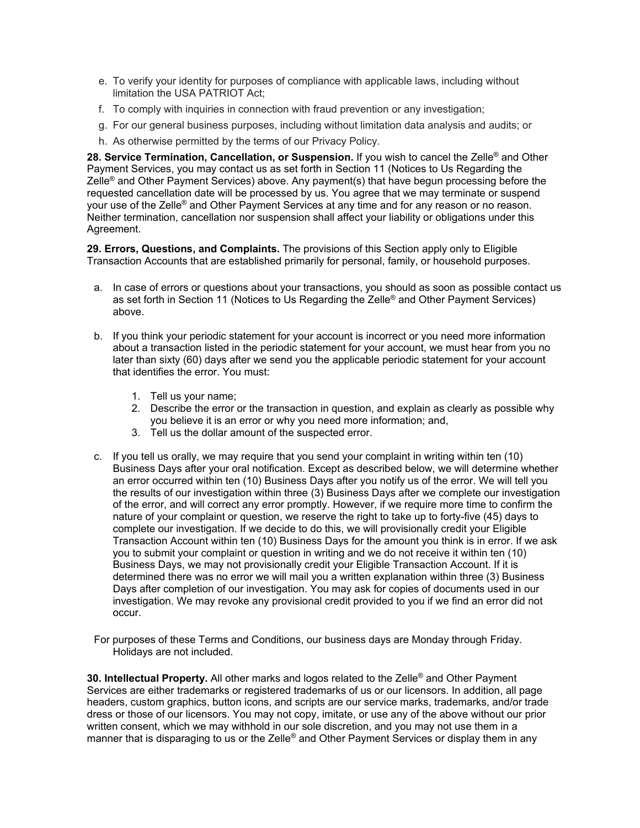- e. To verify your identity for purposes of compliance with applicable laws, including without limitation the USA PATRIOT Act;
- f. To comply with inquiries in connection with fraud prevention or any investigation;
- g. For our general business purposes, including without limitation data analysis and audits; or
- h. As otherwise permitted by the terms of our Privacy Policy.

**28. Service Termination, Cancellation, or Suspension.** If you wish to cancel the Zelle® and Other Payment Services, you may contact us as set forth in Section 11 (Notices to Us Regarding the Zelle® and Other Payment Services) above. Any payment(s) that have begun processing before the requested cancellation date will be processed by us. You agree that we may terminate or suspend your use of the Zelle<sup>®</sup> and Other Payment Services at any time and for any reason or no reason. Neither termination, cancellation nor suspension shall affect your liability or obligations under this Agreement.

**29. Errors, Questions, and Complaints.** The provisions of this Section apply only to Eligible Transaction Accounts that are established primarily for personal, family, or household purposes.

- a. In case of errors or questions about your transactions, you should as soon as possible contact us as set forth in Section 11 (Notices to Us Regarding the Zelle® and Other Payment Services) above.
- b. If you think your periodic statement for your account is incorrect or you need more information about a transaction listed in the periodic statement for your account, we must hear from you no later than sixty (60) days after we send you the applicable periodic statement for your account that identifies the error. You must:
	- 1. Tell us your name;
	- 2. Describe the error or the transaction in question, and explain as clearly as possible why you believe it is an error or why you need more information; and,
	- 3. Tell us the dollar amount of the suspected error.
- c. If you tell us orally, we may require that you send your complaint in writing within ten (10) Business Days after your oral notification. Except as described below, we will determine whether an error occurred within ten (10) Business Days after you notify us of the error. We will tell you the results of our investigation within three (3) Business Days after we complete our investigation of the error, and will correct any error promptly. However, if we require more time to confirm the nature of your complaint or question, we reserve the right to take up to forty-five (45) days to complete our investigation. If we decide to do this, we will provisionally credit your Eligible Transaction Account within ten (10) Business Days for the amount you think is in error. If we ask you to submit your complaint or question in writing and we do not receive it within ten (10) Business Days, we may not provisionally credit your Eligible Transaction Account. If it is determined there was no error we will mail you a written explanation within three (3) Business Days after completion of our investigation. You may ask for copies of documents used in our investigation. We may revoke any provisional credit provided to you if we find an error did not occur.

For purposes of these Terms and Conditions, our business days are Monday through Friday. Holidays are not included.

**30. Intellectual Property.** All other marks and logos related to the Zelle® and Other Payment Services are either trademarks or registered trademarks of us or our licensors. In addition, all page headers, custom graphics, button icons, and scripts are our service marks, trademarks, and/or trade dress or those of our licensors. You may not copy, imitate, or use any of the above without our prior written consent, which we may withhold in our sole discretion, and you may not use them in a manner that is disparaging to us or the Zelle® and Other Payment Services or display them in any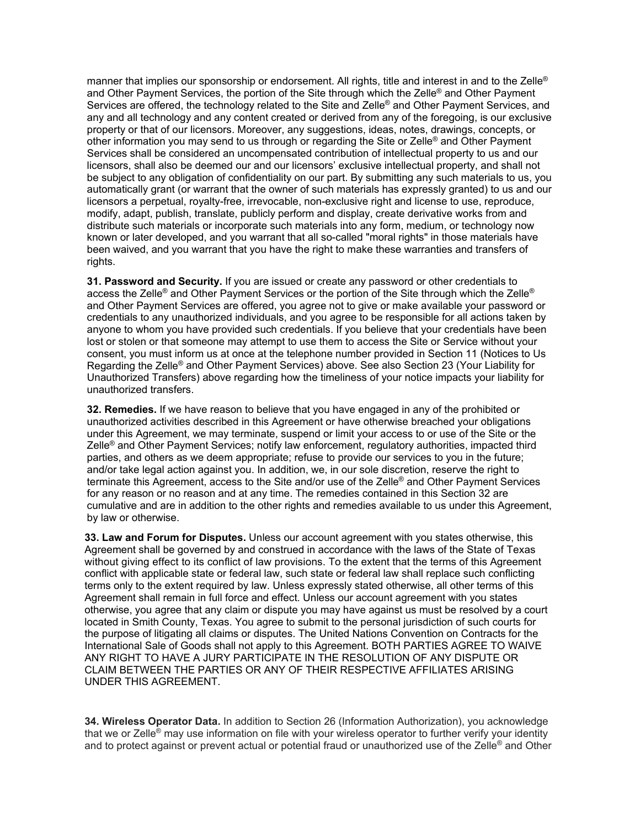manner that implies our sponsorship or endorsement. All rights, title and interest in and to the Zelle® and Other Payment Services, the portion of the Site through which the Zelle<sup>®</sup> and Other Payment Services are offered, the technology related to the Site and Zelle® and Other Payment Services, and any and all technology and any content created or derived from any of the foregoing, is our exclusive property or that of our licensors. Moreover, any suggestions, ideas, notes, drawings, concepts, or other information you may send to us through or regarding the Site or Zelle<sup>®</sup> and Other Payment Services shall be considered an uncompensated contribution of intellectual property to us and our licensors, shall also be deemed our and our licensors' exclusive intellectual property, and shall not be subject to any obligation of confidentiality on our part. By submitting any such materials to us, you automatically grant (or warrant that the owner of such materials has expressly granted) to us and our licensors a perpetual, royalty-free, irrevocable, non-exclusive right and license to use, reproduce, modify, adapt, publish, translate, publicly perform and display, create derivative works from and distribute such materials or incorporate such materials into any form, medium, or technology now known or later developed, and you warrant that all so-called "moral rights" in those materials have been waived, and you warrant that you have the right to make these warranties and transfers of rights.

**31. Password and Security.** If you are issued or create any password or other credentials to access the Zelle® and Other Payment Services or the portion of the Site through which the Zelle® and Other Payment Services are offered, you agree not to give or make available your password or credentials to any unauthorized individuals, and you agree to be responsible for all actions taken by anyone to whom you have provided such credentials. If you believe that your credentials have been lost or stolen or that someone may attempt to use them to access the Site or Service without your consent, you must inform us at once at the telephone number provided in Section 11 (Notices to Us Regarding the Zelle® and Other Payment Services) above. See also Section 23 (Your Liability for Unauthorized Transfers) above regarding how the timeliness of your notice impacts your liability for unauthorized transfers.

**32. Remedies.** If we have reason to believe that you have engaged in any of the prohibited or unauthorized activities described in this Agreement or have otherwise breached your obligations under this Agreement, we may terminate, suspend or limit your access to or use of the Site or the Zelle® and Other Payment Services; notify law enforcement, regulatory authorities, impacted third parties, and others as we deem appropriate; refuse to provide our services to you in the future; and/or take legal action against you. In addition, we, in our sole discretion, reserve the right to terminate this Agreement, access to the Site and/or use of the Zelle® and Other Payment Services for any reason or no reason and at any time. The remedies contained in this Section 32 are cumulative and are in addition to the other rights and remedies available to us under this Agreement, by law or otherwise.

**33. Law and Forum for Disputes.** Unless our account agreement with you states otherwise, this Agreement shall be governed by and construed in accordance with the laws of the State of Texas without giving effect to its conflict of law provisions. To the extent that the terms of this Agreement conflict with applicable state or federal law, such state or federal law shall replace such conflicting terms only to the extent required by law. Unless expressly stated otherwise, all other terms of this Agreement shall remain in full force and effect. Unless our account agreement with you states otherwise, you agree that any claim or dispute you may have against us must be resolved by a court located in Smith County, Texas. You agree to submit to the personal jurisdiction of such courts for the purpose of litigating all claims or disputes. The United Nations Convention on Contracts for the International Sale of Goods shall not apply to this Agreement. BOTH PARTIES AGREE TO WAIVE ANY RIGHT TO HAVE A JURY PARTICIPATE IN THE RESOLUTION OF ANY DISPUTE OR CLAIM BETWEEN THE PARTIES OR ANY OF THEIR RESPECTIVE AFFILIATES ARISING UNDER THIS AGREEMENT.

**34. Wireless Operator Data.** In addition to Section 26 (Information Authorization), you acknowledge that we or Zelle® may use information on file with your wireless operator to further verify your identity and to protect against or prevent actual or potential fraud or unauthorized use of the Zelle® and Other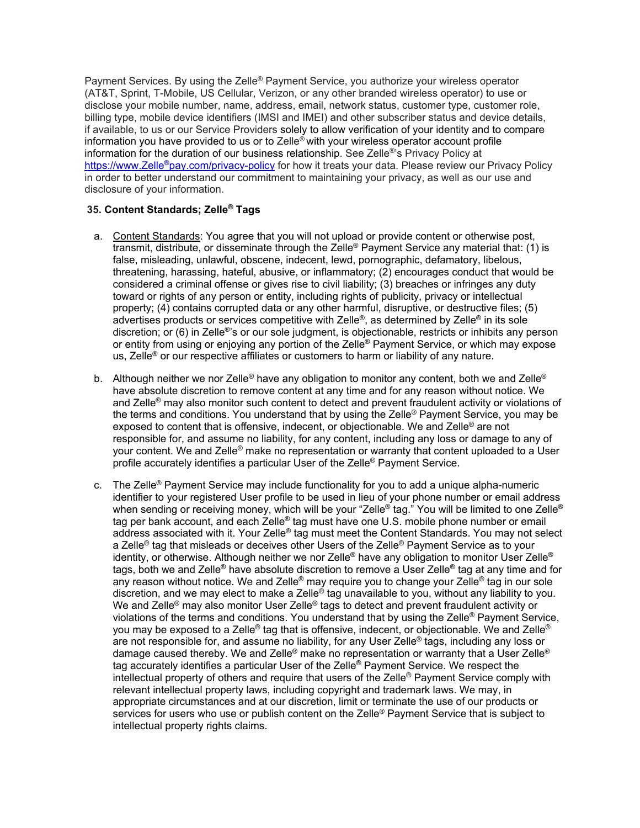Payment Services. By using the Zelle<sup>®</sup> Payment Service, you authorize your wireless operator (AT&T, Sprint, T-Mobile, US Cellular, Verizon, or any other branded wireless operator) to use or disclose your mobile number, name, address, email, network status, customer type, customer role, billing type, mobile device identifiers (IMSI and IMEI) and other subscriber status and device details, if available, to us or our Service Providers solely to allow verification of your identity and to compare information you have provided to us or to Zelle® with your wireless operator account profile information for the duration of our business relationship. See Zelle®'s Privacy Policy at [https://www.Zelle®pay.com/privacy-policy](https://www.zellepay.com/privacy-policy) for how it treats your data. Please review our Privacy Policy in order to better understand our commitment to maintaining your privacy, as well as our use and disclosure of your information.

### **35. Content Standards; Zelle® Tags**

- a. Content Standards: You agree that you will not upload or provide content or otherwise post, transmit, distribute, or disseminate through the Zelle<sup>®</sup> Payment Service any material that: (1) is false, misleading, unlawful, obscene, indecent, lewd, pornographic, defamatory, libelous, threatening, harassing, hateful, abusive, or inflammatory; (2) encourages conduct that would be considered a criminal offense or gives rise to civil liability; (3) breaches or infringes any duty toward or rights of any person or entity, including rights of publicity, privacy or intellectual property; (4) contains corrupted data or any other harmful, disruptive, or destructive files; (5) advertises products or services competitive with Zelle®, as determined by Zelle® in its sole discretion; or (6) in Zelle®'s or our sole judgment, is objectionable, restricts or inhibits any person or entity from using or enjoying any portion of the Zelle® Payment Service, or which may expose us, Zelle® or our respective affiliates or customers to harm or liability of any nature.
- b. Although neither we nor Zelle® have any obligation to monitor any content, both we and Zelle® have absolute discretion to remove content at any time and for any reason without notice. We and Zelle® may also monitor such content to detect and prevent fraudulent activity or violations of the terms and conditions. You understand that by using the Zelle® Payment Service, you may be exposed to content that is offensive, indecent, or objectionable. We and Zelle® are not responsible for, and assume no liability, for any content, including any loss or damage to any of your content. We and Zelle® make no representation or warranty that content uploaded to a User profile accurately identifies a particular User of the Zelle® Payment Service.
- c. The Zelle® Payment Service may include functionality for you to add a unique alpha-numeric identifier to your registered User profile to be used in lieu of your phone number or email address when sending or receiving money, which will be your "Zelle® tag." You will be limited to one Zelle® tag per bank account, and each Zelle<sup>®</sup> tag must have one U.S. mobile phone number or email address associated with it. Your Zelle® tag must meet the Content Standards. You may not select a Zelle<sup>®</sup> tag that misleads or deceives other Users of the Zelle<sup>®</sup> Payment Service as to your identity, or otherwise. Although neither we nor Zelle® have any obligation to monitor User Zelle® tags, both we and Zelle® have absolute discretion to remove a User Zelle® tag at any time and for any reason without notice. We and Zelle® may require you to change your Zelle® tag in our sole discretion, and we may elect to make a Zelle® tag unavailable to you, without any liability to you. We and Zelle<sup>®</sup> may also monitor User Zelle<sup>®</sup> tags to detect and prevent fraudulent activity or violations of the terms and conditions. You understand that by using the Zelle® Payment Service, you may be exposed to a Zelle® tag that is offensive, indecent, or objectionable. We and Zelle® are not responsible for, and assume no liability, for any User Zelle® tags, including any loss or damage caused thereby. We and Zelle<sup>®</sup> make no representation or warranty that a User Zelle<sup>®</sup> tag accurately identifies a particular User of the Zelle® Payment Service. We respect the intellectual property of others and require that users of the Zelle® Payment Service comply with relevant intellectual property laws, including copyright and trademark laws. We may, in appropriate circumstances and at our discretion, limit or terminate the use of our products or services for users who use or publish content on the Zelle<sup>®</sup> Payment Service that is subject to intellectual property rights claims.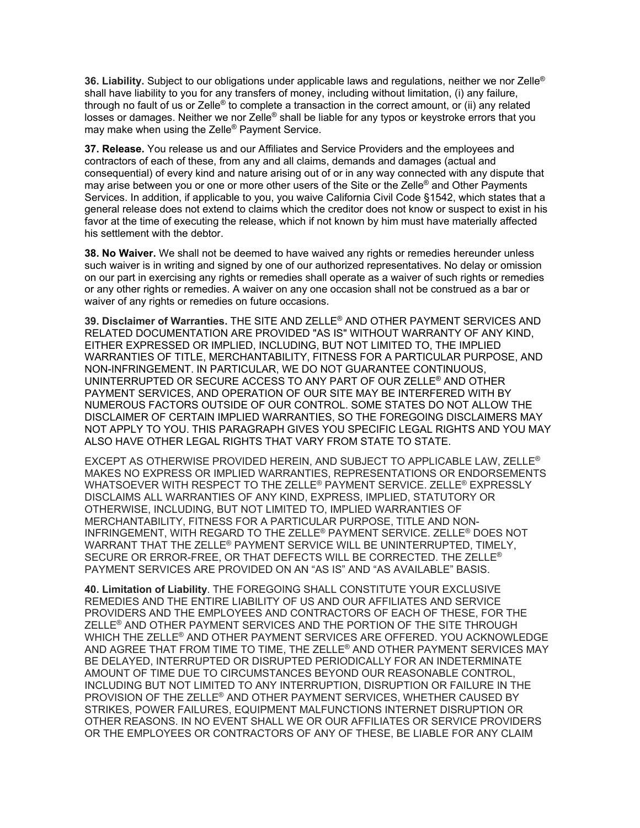**36. Liability.** Subject to our obligations under applicable laws and regulations, neither we nor Zelle® shall have liability to you for any transfers of money, including without limitation, (i) any failure, through no fault of us or Zelle® to complete a transaction in the correct amount, or (ii) any related losses or damages. Neither we nor Zelle<sup>®</sup> shall be liable for any typos or keystroke errors that you may make when using the Zelle® Payment Service.

**37. Release.** You release us and our Affiliates and Service Providers and the employees and contractors of each of these, from any and all claims, demands and damages (actual and consequential) of every kind and nature arising out of or in any way connected with any dispute that may arise between you or one or more other users of the Site or the Zelle® and Other Payments Services. In addition, if applicable to you, you waive California Civil Code §1542, which states that a general release does not extend to claims which the creditor does not know or suspect to exist in his favor at the time of executing the release, which if not known by him must have materially affected his settlement with the debtor.

**38. No Waiver.** We shall not be deemed to have waived any rights or remedies hereunder unless such waiver is in writing and signed by one of our authorized representatives. No delay or omission on our part in exercising any rights or remedies shall operate as a waiver of such rights or remedies or any other rights or remedies. A waiver on any one occasion shall not be construed as a bar or waiver of any rights or remedies on future occasions.

**39. Disclaimer of Warranties.** THE SITE AND ZELLE® AND OTHER PAYMENT SERVICES AND RELATED DOCUMENTATION ARE PROVIDED "AS IS" WITHOUT WARRANTY OF ANY KIND, EITHER EXPRESSED OR IMPLIED, INCLUDING, BUT NOT LIMITED TO, THE IMPLIED WARRANTIES OF TITLE, MERCHANTABILITY, FITNESS FOR A PARTICULAR PURPOSE, AND NON-INFRINGEMENT. IN PARTICULAR, WE DO NOT GUARANTEE CONTINUOUS, UNINTERRUPTED OR SECURE ACCESS TO ANY PART OF OUR ZELLE® AND OTHER PAYMENT SERVICES, AND OPERATION OF OUR SITE MAY BE INTERFERED WITH BY NUMEROUS FACTORS OUTSIDE OF OUR CONTROL. SOME STATES DO NOT ALLOW THE DISCLAIMER OF CERTAIN IMPLIED WARRANTIES, SO THE FOREGOING DISCLAIMERS MAY NOT APPLY TO YOU. THIS PARAGRAPH GIVES YOU SPECIFIC LEGAL RIGHTS AND YOU MAY ALSO HAVE OTHER LEGAL RIGHTS THAT VARY FROM STATE TO STATE.

EXCEPT AS OTHERWISE PROVIDED HEREIN, AND SUBJECT TO APPLICABLE LAW, ZELLE® MAKES NO EXPRESS OR IMPLIED WARRANTIES, REPRESENTATIONS OR ENDORSEMENTS WHATSOEVER WITH RESPECT TO THE ZELLE® PAYMENT SERVICE. ZELLE® EXPRESSLY DISCLAIMS ALL WARRANTIES OF ANY KIND, EXPRESS, IMPLIED, STATUTORY OR OTHERWISE, INCLUDING, BUT NOT LIMITED TO, IMPLIED WARRANTIES OF MERCHANTABILITY, FITNESS FOR A PARTICULAR PURPOSE, TITLE AND NON-INFRINGEMENT, WITH REGARD TO THE ZELLE® PAYMENT SERVICE. ZELLE® DOES NOT WARRANT THAT THE ZELLE® PAYMENT SERVICE WILL BE UNINTERRUPTED, TIMELY, SECURE OR ERROR-FREE, OR THAT DEFECTS WILL BE CORRECTED. THE ZELLE® PAYMENT SERVICES ARE PROVIDED ON AN "AS IS" AND "AS AVAILABLE" BASIS.

**40. Limitation of Liability**. THE FOREGOING SHALL CONSTITUTE YOUR EXCLUSIVE REMEDIES AND THE ENTIRE LIABILITY OF US AND OUR AFFILIATES AND SERVICE PROVIDERS AND THE EMPLOYEES AND CONTRACTORS OF EACH OF THESE, FOR THE ZELLE® AND OTHER PAYMENT SERVICES AND THE PORTION OF THE SITE THROUGH WHICH THE ZELLE® AND OTHER PAYMENT SERVICES ARE OFFERED. YOU ACKNOWLEDGE AND AGREE THAT FROM TIME TO TIME, THE ZELLE® AND OTHER PAYMENT SERVICES MAY BE DELAYED, INTERRUPTED OR DISRUPTED PERIODICALLY FOR AN INDETERMINATE AMOUNT OF TIME DUE TO CIRCUMSTANCES BEYOND OUR REASONABLE CONTROL, INCLUDING BUT NOT LIMITED TO ANY INTERRUPTION, DISRUPTION OR FAILURE IN THE PROVISION OF THE ZELLE® AND OTHER PAYMENT SERVICES, WHETHER CAUSED BY STRIKES, POWER FAILURES, EQUIPMENT MALFUNCTIONS INTERNET DISRUPTION OR OTHER REASONS. IN NO EVENT SHALL WE OR OUR AFFILIATES OR SERVICE PROVIDERS OR THE EMPLOYEES OR CONTRACTORS OF ANY OF THESE, BE LIABLE FOR ANY CLAIM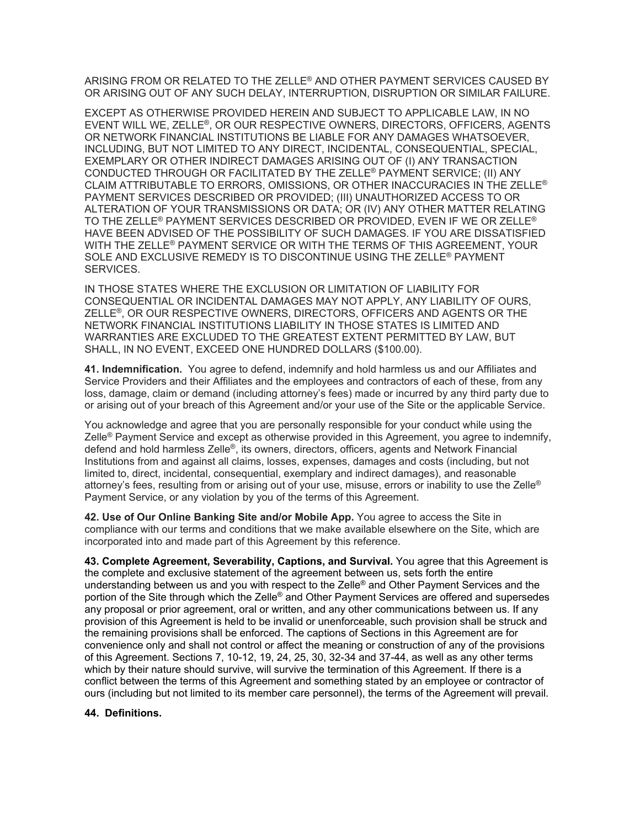ARISING FROM OR RELATED TO THE ZELLE® AND OTHER PAYMENT SERVICES CAUSED BY OR ARISING OUT OF ANY SUCH DELAY, INTERRUPTION, DISRUPTION OR SIMILAR FAILURE.

EXCEPT AS OTHERWISE PROVIDED HEREIN AND SUBJECT TO APPLICABLE LAW, IN NO EVENT WILL WE, ZELLE®, OR OUR RESPECTIVE OWNERS, DIRECTORS, OFFICERS, AGENTS OR NETWORK FINANCIAL INSTITUTIONS BE LIABLE FOR ANY DAMAGES WHATSOEVER, INCLUDING, BUT NOT LIMITED TO ANY DIRECT, INCIDENTAL, CONSEQUENTIAL, SPECIAL, EXEMPLARY OR OTHER INDIRECT DAMAGES ARISING OUT OF (I) ANY TRANSACTION CONDUCTED THROUGH OR FACILITATED BY THE ZELLE® PAYMENT SERVICE; (II) ANY CLAIM ATTRIBUTABLE TO ERRORS, OMISSIONS, OR OTHER INACCURACIES IN THE ZELLE® PAYMENT SERVICES DESCRIBED OR PROVIDED; (III) UNAUTHORIZED ACCESS TO OR ALTERATION OF YOUR TRANSMISSIONS OR DATA; OR (IV) ANY OTHER MATTER RELATING TO THE ZELLE® PAYMENT SERVICES DESCRIBED OR PROVIDED, EVEN IF WE OR ZELLE® HAVE BEEN ADVISED OF THE POSSIBILITY OF SUCH DAMAGES. IF YOU ARE DISSATISFIED WITH THE ZELLE® PAYMENT SERVICE OR WITH THE TERMS OF THIS AGREEMENT, YOUR SOLE AND EXCLUSIVE REMEDY IS TO DISCONTINUE USING THE ZELLE® PAYMENT SERVICES.

IN THOSE STATES WHERE THE EXCLUSION OR LIMITATION OF LIABILITY FOR CONSEQUENTIAL OR INCIDENTAL DAMAGES MAY NOT APPLY, ANY LIABILITY OF OURS, ZELLE®, OR OUR RESPECTIVE OWNERS, DIRECTORS, OFFICERS AND AGENTS OR THE NETWORK FINANCIAL INSTITUTIONS LIABILITY IN THOSE STATES IS LIMITED AND WARRANTIES ARE EXCLUDED TO THE GREATEST EXTENT PERMITTED BY LAW, BUT SHALL, IN NO EVENT, EXCEED ONE HUNDRED DOLLARS (\$100.00).

**41. Indemnification.** You agree to defend, indemnify and hold harmless us and our Affiliates and Service Providers and their Affiliates and the employees and contractors of each of these, from any loss, damage, claim or demand (including attorney's fees) made or incurred by any third party due to or arising out of your breach of this Agreement and/or your use of the Site or the applicable Service.

You acknowledge and agree that you are personally responsible for your conduct while using the Zelle® Payment Service and except as otherwise provided in this Agreement, you agree to indemnify, defend and hold harmless Zelle®, its owners, directors, officers, agents and Network Financial Institutions from and against all claims, losses, expenses, damages and costs (including, but not limited to, direct, incidental, consequential, exemplary and indirect damages), and reasonable attorney's fees, resulting from or arising out of your use, misuse, errors or inability to use the Zelle® Payment Service, or any violation by you of the terms of this Agreement.

**42. Use of Our Online Banking Site and/or Mobile App.** You agree to access the Site in compliance with our terms and conditions that we make available elsewhere on the Site, which are incorporated into and made part of this Agreement by this reference.

**43. Complete Agreement, Severability, Captions, and Survival.** You agree that this Agreement is the complete and exclusive statement of the agreement between us, sets forth the entire understanding between us and you with respect to the Zelle<sup>®</sup> and Other Payment Services and the portion of the Site through which the Zelle<sup>®</sup> and Other Payment Services are offered and supersedes any proposal or prior agreement, oral or written, and any other communications between us. If any provision of this Agreement is held to be invalid or unenforceable, such provision shall be struck and the remaining provisions shall be enforced. The captions of Sections in this Agreement are for convenience only and shall not control or affect the meaning or construction of any of the provisions of this Agreement. Sections 7, 10-12, 19, 24, 25, 30, 32-34 and 37-44, as well as any other terms which by their nature should survive, will survive the termination of this Agreement. If there is a conflict between the terms of this Agreement and something stated by an employee or contractor of ours (including but not limited to its member care personnel), the terms of the Agreement will prevail.

## **44. Definitions.**